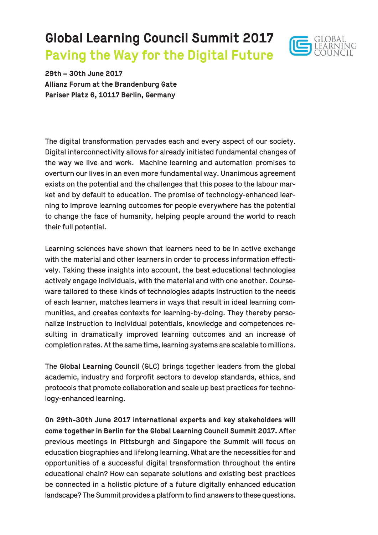# **Global Learning Council Summit 2017 Paving the Way for the Digital Future**



**29th – 30th June 2017 Allianz Forum at the Brandenburg Gate Pariser Platz 6, 10117 Berlin, Germany**

The digital transformation pervades each and every aspect of our society. Digital interconnectivity allows for already initiated fundamental changes of the way we live and work. Machine learning and automation promises to overturn our lives in an even more fundamental way. Unanimous agreement exists on the potential and the challenges that this poses to the labour market and by default to education. The promise of technology-enhanced learning to improve learning outcomes for people everywhere has the potential to change the face of humanity, helping people around the world to reach their full potential.

Learning sciences have shown that learners need to be in active exchange with the material and other learners in order to process information effectively. Taking these insights into account, the best educational technologies actively engage individuals, with the material and with one another. Courseware tailored to these kinds of technologies adapts instruction to the needs of each learner, matches learners in ways that result in ideal learning communities, and creates contexts for learning-by-doing. They thereby personalize instruction to individual potentials, knowledge and competences resulting in dramatically improved learning outcomes and an increase of completion rates. At the same time, learning systems are scalable to millions.

The **Global Learning Council** (GLC) brings together leaders from the global academic, industry and forprofit sectors to develop standards, ethics, and protocols that promote collaboration and scale up best practices for technology-enhanced learning.

**On 29th-30th June 2017 international experts and key stakeholders will come together in Berlin for the Global Learning Council Summit 2017.** After previous meetings in Pittsburgh and Singapore the Summit will focus on education biographies and lifelong learning. What are the necessities for and opportunities of a successful digital transformation throughout the entire educational chain? How can separate solutions and existing best practices be connected in a holistic picture of a future digitally enhanced education landscape? The Summit provides a platform to find answers to these questions.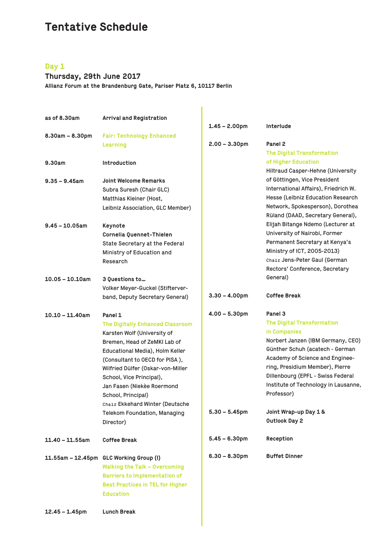# **Tentative Schedule**

### **Day 1**

# **Thursday, 29th June 2017**

**Allianz Forum at the Brandenburg Gate, Pariser Platz 6, 10117 Berlin**

| as of 8.30am       | <b>Arrival and Registration</b>              |                  |                                      |
|--------------------|----------------------------------------------|------------------|--------------------------------------|
|                    |                                              | $1.45 - 2.00$ pm | Interlude                            |
| $8.30am - 8.30pm$  | <b>Fair: Technology Enhanced</b><br>Learning | $2.00 - 3.30$ pm | Panel 2                              |
|                    |                                              |                  | <b>The Digital Transformation</b>    |
| 9.30am             | <b>Introduction</b>                          |                  | of Higher Education                  |
|                    |                                              |                  | Hiltraud Casper-Hehne (University    |
| $9.35 - 9.45$ am   | <b>Joint Welcome Remarks</b>                 |                  | of Göttingen, Vice President         |
|                    | Subra Suresh (Chair GLC)                     |                  | International Affairs), Friedrich W. |
|                    | Matthias Kleiner (Host,                      |                  | Hesse (Leibniz Education Research    |
|                    | Leibniz Association, GLC Member)             |                  | Network, Spokesperson), Dorothea     |
|                    |                                              |                  | Rüland (DAAD, Secretary General),    |
| $9.45 - 10.05$ am  | Keynote                                      |                  | Elijah Bitange Ndemo (Lecturer at    |
|                    | Cornelia Quennet-Thielen                     |                  | University of Nairobi, Former        |
|                    | State Secretary at the Federal               |                  | Permanent Secretary at Kenya's       |
|                    | Ministry of Education and                    |                  | Ministry of ICT, 2005-2013)          |
|                    | Research                                     |                  | Chair Jens-Peter Gaul (German        |
|                    |                                              |                  | Rectors' Conference, Secretary       |
| $10.05 - 10.10$ am | 3 Ouestions to                               |                  | General)                             |
|                    | Volker Meyer-Guckel (Stifterver-             |                  |                                      |
|                    | band, Deputy Secretary General)              | $3.30 - 4.00$ pm | <b>Coffee Break</b>                  |
| $10.10 - 11.40$ am | Panel 1                                      | $4.00 - 5.30$ pm | Panel 3                              |
|                    | <b>The Digitally Enhanced Classroom</b>      |                  | <b>The Digital Transformation</b>    |
|                    | Karsten Wolf (University of                  |                  | in Companies                         |
|                    | Bremen, Head of ZeMKI Lab of                 |                  | Norbert Janzen (IBM Germany, CEO)    |
|                    | Educational Media), Holm Keller              |                  | Günther Schuh (acatech - German      |
|                    | (Consultant to OECD for PISA),               |                  | Academy of Science and Enginee-      |
|                    | Wilfried Dülfer (Oskar-von-Miller            |                  | ring, Presidium Member), Pierre      |
|                    | School, Vice Principal),                     |                  | Dillenbourg (EPFL - Swiss Federal    |
|                    | Jan Fasen (Niekèe Roermond                   |                  | Institute of Technology in Lausanne, |
|                    | School, Principal)                           |                  | Professor)                           |
|                    | Chair Ekkehard Winter (Deutsche              |                  |                                      |
|                    | Telekom Foundation, Managing                 | $5.30 - 5.45$ pm | Joint Wrap-up Day 1 &                |
|                    | Director)                                    |                  | <b>Outlook Day 2</b>                 |
| $11.40 - 11.55$ am | <b>Coffee Break</b>                          | $5.45 - 6.30pm$  | Reception                            |
|                    | 11.55am - 12.45pm GLC Working Group (I)      | $6.30 - 8.30$ pm | <b>Buffet Dinner</b>                 |
|                    | <b>Walking the Talk - Overcoming</b>         |                  |                                      |
|                    | <b>Barriers to Implementation of</b>         |                  |                                      |
|                    | <b>Best Practices in TEL for Higher</b>      |                  |                                      |
|                    | <b>Education</b>                             |                  |                                      |
|                    |                                              |                  |                                      |
| $12.45 - 1.45$ pm  | <b>Lunch Break</b>                           |                  |                                      |